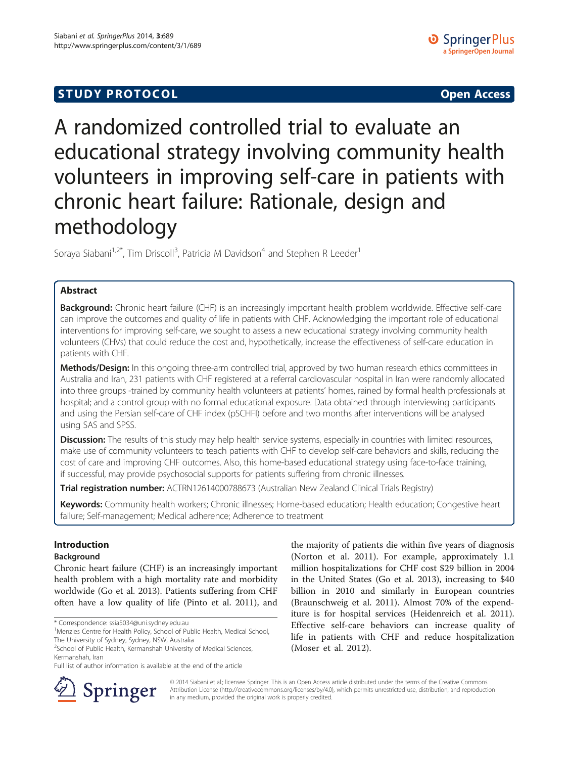# **STUDY PROTOCOL CONSUMING THE CONSUMING OPEN ACCESS**

# A randomized controlled trial to evaluate an educational strategy involving community health volunteers in improving self-care in patients with chronic heart failure: Rationale, design and methodology

Soraya Siabani<sup>1,2\*</sup>, Tim Driscoll<sup>3</sup>, Patricia M Davidson<sup>4</sup> and Stephen R Leeder<sup>1</sup>

# Abstract

Background: Chronic heart failure (CHF) is an increasingly important health problem worldwide. Effective self-care can improve the outcomes and quality of life in patients with CHF. Acknowledging the important role of educational interventions for improving self-care, we sought to assess a new educational strategy involving community health volunteers (CHVs) that could reduce the cost and, hypothetically, increase the effectiveness of self-care education in patients with CHF.

Methods/Design: In this ongoing three-arm controlled trial, approved by two human research ethics committees in Australia and Iran, 231 patients with CHF registered at a referral cardiovascular hospital in Iran were randomly allocated into three groups -trained by community health volunteers at patients' homes, rained by formal health professionals at hospital; and a control group with no formal educational exposure. Data obtained through interviewing participants and using the Persian self-care of CHF index (pSCHFI) before and two months after interventions will be analysed using SAS and SPSS.

**Discussion:** The results of this study may help health service systems, especially in countries with limited resources, make use of community volunteers to teach patients with CHF to develop self-care behaviors and skills, reducing the cost of care and improving CHF outcomes. Also, this home-based educational strategy using face-to-face training, if successful, may provide psychosocial supports for patients suffering from chronic illnesses.

**Trial registration number:** [ACTRN12614000788673](http://www.anzctr.org.au/UserSurvey.aspx) (Australian New Zealand Clinical Trials Registry)

Keywords: Community health workers; Chronic illnesses; Home-based education; Health education; Congestive heart failure; Self-management; Medical adherence; Adherence to treatment

# Introduction

# Background

Chronic heart failure (CHF) is an increasingly important health problem with a high mortality rate and morbidity worldwide (Go et al. [2013](#page-5-0)). Patients suffering from CHF often have a low quality of life (Pinto et al. [2011\)](#page-5-0), and

\* Correspondence: [ssia5034@uni.sydney.edu.au](mailto:ssia5034@uni.sydney.edu.au) <sup>1</sup>

(Norton et al. [2011\)](#page-5-0). For example, approximately 1.1 million hospitalizations for CHF cost \$29 billion in 2004 in the United States (Go et al. [2013\)](#page-5-0), increasing to \$40 billion in 2010 and similarly in European countries (Braunschweig et al. [2011\)](#page-5-0). Almost 70% of the expenditure is for hospital services (Heidenreich et al. [2011](#page-5-0)). Effective self-care behaviors can increase quality of life in patients with CHF and reduce hospitalization (Moser et al. [2012](#page-5-0)).

the majority of patients die within five years of diagnosis



© 2014 Siabani et al.; licensee Springer. This is an Open Access article distributed under the terms of the Creative Commons Attribution License [\(http://creativecommons.org/licenses/by/4.0\)](http://creativecommons.org/licenses/by/4.0), which permits unrestricted use, distribution, and reproduction in any medium, provided the original work is properly credited.

<sup>&</sup>lt;sup>1</sup>Menzies Centre for Health Policy, School of Public Health, Medical School, The University of Sydney, Sydney, NSW, Australia

<sup>&</sup>lt;sup>2</sup>School of Public Health, Kermanshah University of Medical Sciences, Kermanshah, Iran

Full list of author information is available at the end of the article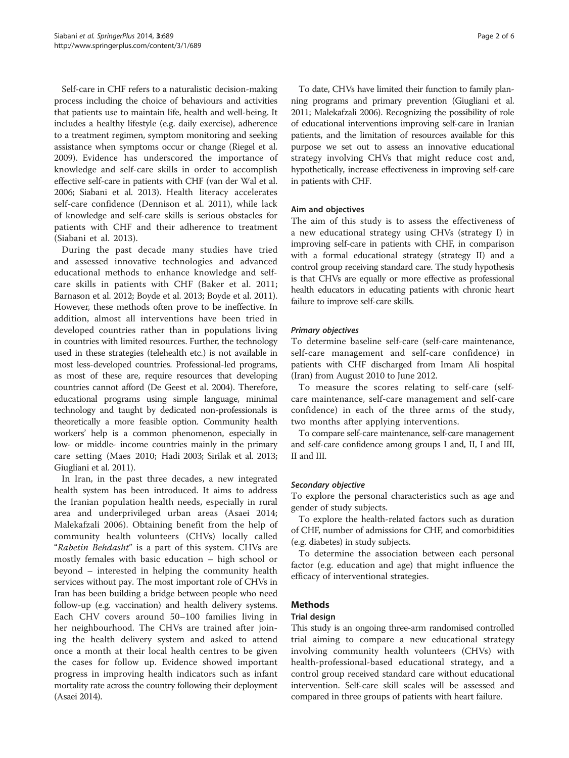Self-care in CHF refers to a naturalistic decision-making process including the choice of behaviours and activities that patients use to maintain life, health and well-being. It includes a healthy lifestyle (e.g. daily exercise), adherence to a treatment regimen, symptom monitoring and seeking assistance when symptoms occur or change (Riegel et al. [2009\)](#page-5-0). Evidence has underscored the importance of knowledge and self-care skills in order to accomplish effective self-care in patients with CHF (van der Wal et al. [2006;](#page-5-0) Siabani et al. [2013\)](#page-5-0). Health literacy accelerates self-care confidence (Dennison et al. [2011](#page-5-0)), while lack of knowledge and self-care skills is serious obstacles for patients with CHF and their adherence to treatment (Siabani et al. [2013\)](#page-5-0).

During the past decade many studies have tried and assessed innovative technologies and advanced educational methods to enhance knowledge and selfcare skills in patients with CHF (Baker et al. [2011](#page-5-0); Barnason et al. [2012](#page-5-0); Boyde et al. [2013;](#page-5-0) Boyde et al. [2011](#page-5-0)). However, these methods often prove to be ineffective. In addition, almost all interventions have been tried in developed countries rather than in populations living in countries with limited resources. Further, the technology used in these strategies (telehealth etc.) is not available in most less-developed countries. Professional-led programs, as most of these are, require resources that developing countries cannot afford (De Geest et al. [2004\)](#page-5-0). Therefore, educational programs using simple language, minimal technology and taught by dedicated non-professionals is theoretically a more feasible option. Community health workers' help is a common phenomenon, especially in low- or middle- income countries mainly in the primary care setting (Maes [2010;](#page-5-0) Hadi [2003](#page-5-0); Sirilak et al. [2013](#page-5-0); Giugliani et al. [2011\)](#page-5-0).

In Iran, in the past three decades, a new integrated health system has been introduced. It aims to address the Iranian population health needs, especially in rural area and underprivileged urban areas (Asaei [2014](#page-5-0); Malekafzali [2006\)](#page-5-0). Obtaining benefit from the help of community health volunteers (CHVs) locally called "Rabetin Behdasht" is a part of this system. CHVs are mostly females with basic education – high school or beyond – interested in helping the community health services without pay. The most important role of CHVs in Iran has been building a bridge between people who need follow-up (e.g. vaccination) and health delivery systems. Each CHV covers around 50–100 families living in her neighbourhood. The CHVs are trained after joining the health delivery system and asked to attend once a month at their local health centres to be given the cases for follow up. Evidence showed important progress in improving health indicators such as infant mortality rate across the country following their deployment (Asaei [2014](#page-5-0)).

To date, CHVs have limited their function to family planning programs and primary prevention (Giugliani et al. [2011;](#page-5-0) Malekafzali [2006\)](#page-5-0). Recognizing the possibility of role of educational interventions improving self-care in Iranian patients, and the limitation of resources available for this purpose we set out to assess an innovative educational strategy involving CHVs that might reduce cost and, hypothetically, increase effectiveness in improving self-care in patients with CHF.

## Aim and objectives

The aim of this study is to assess the effectiveness of a new educational strategy using CHVs (strategy I) in improving self-care in patients with CHF, in comparison with a formal educational strategy (strategy II) and a control group receiving standard care. The study hypothesis is that CHVs are equally or more effective as professional health educators in educating patients with chronic heart failure to improve self-care skills.

#### Primary objectives

To determine baseline self-care (self-care maintenance, self-care management and self-care confidence) in patients with CHF discharged from Imam Ali hospital (Iran) from August 2010 to June 2012.

To measure the scores relating to self-care (selfcare maintenance, self-care management and self-care confidence) in each of the three arms of the study, two months after applying interventions.

To compare self-care maintenance, self-care management and self-care confidence among groups I and, II, I and III, II and III.

#### Secondary objective

To explore the personal characteristics such as age and gender of study subjects.

To explore the health-related factors such as duration of CHF, number of admissions for CHF, and comorbidities (e.g. diabetes) in study subjects.

To determine the association between each personal factor (e.g. education and age) that might influence the efficacy of interventional strategies.

## Methods

# Trial design

This study is an ongoing three-arm randomised controlled trial aiming to compare a new educational strategy involving community health volunteers (CHVs) with health-professional-based educational strategy, and a control group received standard care without educational intervention. Self-care skill scales will be assessed and compared in three groups of patients with heart failure.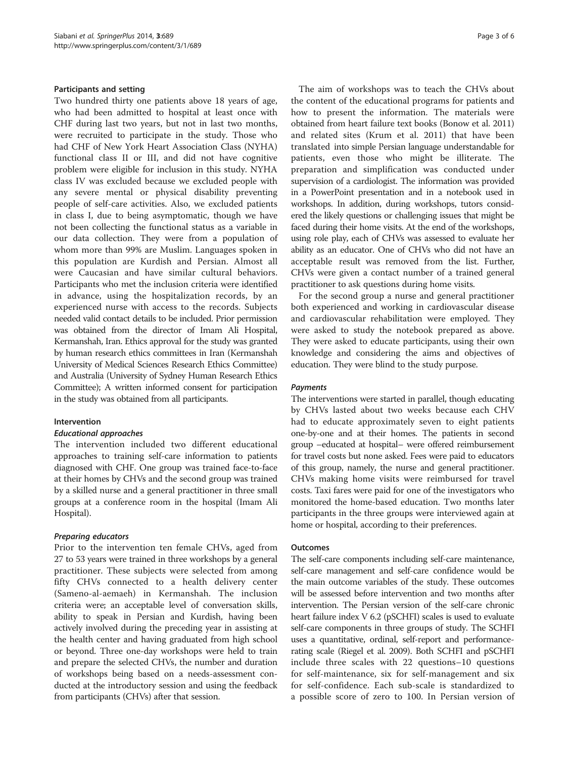#### Participants and setting

Two hundred thirty one patients above 18 years of age, who had been admitted to hospital at least once with CHF during last two years, but not in last two months, were recruited to participate in the study. Those who had CHF of New York Heart Association Class (NYHA) functional class II or III, and did not have cognitive problem were eligible for inclusion in this study. NYHA class IV was excluded because we excluded people with any severe mental or physical disability preventing people of self-care activities. Also, we excluded patients in class I, due to being asymptomatic, though we have not been collecting the functional status as a variable in our data collection. They were from a population of whom more than 99% are Muslim. Languages spoken in this population are Kurdish and Persian. Almost all were Caucasian and have similar cultural behaviors. Participants who met the inclusion criteria were identified in advance, using the hospitalization records, by an experienced nurse with access to the records. Subjects needed valid contact details to be included. Prior permission was obtained from the director of Imam Ali Hospital, Kermanshah, Iran. Ethics approval for the study was granted by human research ethics committees in Iran (Kermanshah University of Medical Sciences Research Ethics Committee) and Australia (University of Sydney Human Research Ethics Committee); A written informed consent for participation in the study was obtained from all participants.

#### Intervention

#### Educational approaches

The intervention included two different educational approaches to training self-care information to patients diagnosed with CHF. One group was trained face-to-face at their homes by CHVs and the second group was trained by a skilled nurse and a general practitioner in three small groups at a conference room in the hospital (Imam Ali Hospital).

#### Preparing educators

Prior to the intervention ten female CHVs, aged from 27 to 53 years were trained in three workshops by a general practitioner. These subjects were selected from among fifty CHVs connected to a health delivery center (Sameno-al-aemaeh) in Kermanshah. The inclusion criteria were; an acceptable level of conversation skills, ability to speak in Persian and Kurdish, having been actively involved during the preceding year in assisting at the health center and having graduated from high school or beyond. Three one-day workshops were held to train and prepare the selected CHVs, the number and duration of workshops being based on a needs-assessment conducted at the introductory session and using the feedback from participants (CHVs) after that session.

The aim of workshops was to teach the CHVs about the content of the educational programs for patients and how to present the information. The materials were obtained from heart failure text books (Bonow et al. [2011](#page-5-0)) and related sites (Krum et al. [2011\)](#page-5-0) that have been translated into simple Persian language understandable for patients, even those who might be illiterate. The preparation and simplification was conducted under supervision of a cardiologist. The information was provided in a PowerPoint presentation and in a notebook used in workshops. In addition, during workshops, tutors considered the likely questions or challenging issues that might be faced during their home visits. At the end of the workshops, using role play, each of CHVs was assessed to evaluate her ability as an educator. One of CHVs who did not have an acceptable result was removed from the list. Further, CHVs were given a contact number of a trained general practitioner to ask questions during home visits.

For the second group a nurse and general practitioner both experienced and working in cardiovascular disease and cardiovascular rehabilitation were employed. They were asked to study the notebook prepared as above. They were asked to educate participants, using their own knowledge and considering the aims and objectives of education. They were blind to the study purpose.

## Payments

The interventions were started in parallel, though educating by CHVs lasted about two weeks because each CHV had to educate approximately seven to eight patients one-by-one and at their homes. The patients in second group –educated at hospital– were offered reimbursement for travel costs but none asked. Fees were paid to educators of this group, namely, the nurse and general practitioner. CHVs making home visits were reimbursed for travel costs. Taxi fares were paid for one of the investigators who monitored the home-based education. Two months later participants in the three groups were interviewed again at home or hospital, according to their preferences.

#### **Outcomes**

The self-care components including self-care maintenance, self-care management and self-care confidence would be the main outcome variables of the study. These outcomes will be assessed before intervention and two months after intervention. The Persian version of the self-care chronic heart failure index V 6.2 (pSCHFI) scales is used to evaluate self-care components in three groups of study. The SCHFI uses a quantitative, ordinal, self-report and performancerating scale (Riegel et al. [2009\)](#page-5-0). Both SCHFI and pSCHFI include three scales with 22 questions–10 questions for self-maintenance, six for self-management and six for self-confidence. Each sub-scale is standardized to a possible score of zero to 100. In Persian version of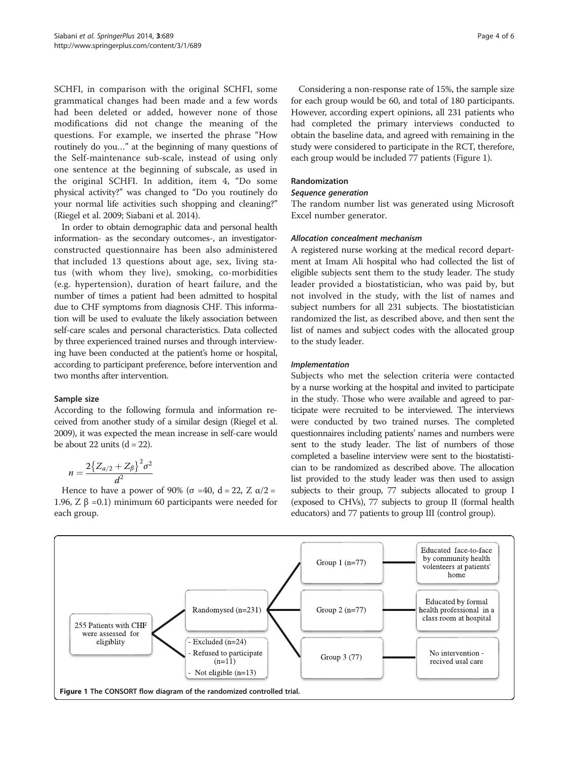SCHFI, in comparison with the original SCHFI, some grammatical changes had been made and a few words had been deleted or added, however none of those modifications did not change the meaning of the questions. For example, we inserted the phrase "How routinely do you…" at the beginning of many questions of the Self-maintenance sub-scale, instead of using only one sentence at the beginning of subscale, as used in the original SCHFI. In addition, item 4, "Do some physical activity?" was changed to "Do you routinely do your normal life activities such shopping and cleaning?" (Riegel et al. [2009](#page-5-0); Siabani et al. [2014](#page-5-0)).

In order to obtain demographic data and personal health information- as the secondary outcomes-, an investigatorconstructed questionnaire has been also administered that included 13 questions about age, sex, living status (with whom they live), smoking, co-morbidities (e.g. hypertension), duration of heart failure, and the number of times a patient had been admitted to hospital due to CHF symptoms from diagnosis CHF. This information will be used to evaluate the likely association between self-care scales and personal characteristics. Data collected by three experienced trained nurses and through interviewing have been conducted at the patient's home or hospital, according to participant preference, before intervention and two months after intervention.

#### Sample size

According to the following formula and information received from another study of a similar design (Riegel et al. [2009\)](#page-5-0), it was expected the mean increase in self-care would be about 22 units  $(d = 22)$ .

$$
n = \frac{2\left\{Z_{a/2} + Z_{\beta}\right\}^2 \sigma^2}{d^2}
$$

Hence to have a power of 90% ( $\sigma$  =40, d = 22, Z  $\alpha/2$  = 1.96, Z  $\beta$  =0.1) minimum 60 participants were needed for each group.

Considering a non-response rate of 15%, the sample size for each group would be 60, and total of 180 participants. However, according expert opinions, all 231 patients who had completed the primary interviews conducted to obtain the baseline data, and agreed with remaining in the study were considered to participate in the RCT, therefore, each group would be included 77 patients (Figure 1).

#### Randomization

#### Sequence generation

The random number list was generated using Microsoft Excel number generator.

#### Allocation concealment mechanism

A registered nurse working at the medical record department at Imam Ali hospital who had collected the list of eligible subjects sent them to the study leader. The study leader provided a biostatistician, who was paid by, but not involved in the study, with the list of names and subject numbers for all 231 subjects. The biostatistician randomized the list, as described above, and then sent the list of names and subject codes with the allocated group to the study leader.

#### Implementation

Subjects who met the selection criteria were contacted by a nurse working at the hospital and invited to participate in the study. Those who were available and agreed to participate were recruited to be interviewed. The interviews were conducted by two trained nurses. The completed questionnaires including patients' names and numbers were sent to the study leader. The list of numbers of those completed a baseline interview were sent to the biostatistician to be randomized as described above. The allocation list provided to the study leader was then used to assign subjects to their group, 77 subjects allocated to group I (exposed to CHVs), 77 subjects to group II (formal health educators) and 77 patients to group III (control group).

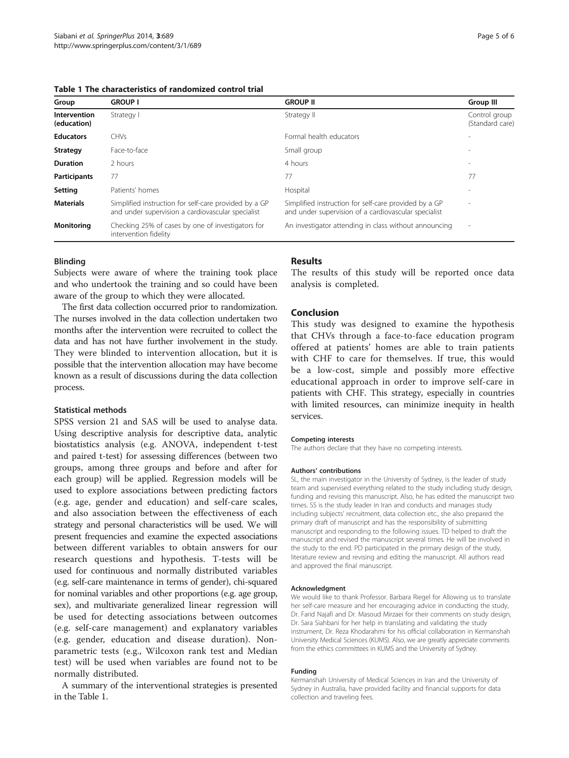|  |  | Table 1 The characteristics of randomized control trial |  |  |  |  |
|--|--|---------------------------------------------------------|--|--|--|--|
|--|--|---------------------------------------------------------|--|--|--|--|

| Group                       | <b>GROUP I</b>                                                                                             | <b>GROUP II</b>                                                                                               | <b>Group III</b>                 |  |
|-----------------------------|------------------------------------------------------------------------------------------------------------|---------------------------------------------------------------------------------------------------------------|----------------------------------|--|
| Intervention<br>(education) | Strategy I                                                                                                 | Strategy II                                                                                                   | Control group<br>(Standard care) |  |
| <b>Educators</b>            | <b>CHVs</b>                                                                                                | Formal health educators                                                                                       |                                  |  |
| Strategy                    | Face-to-face                                                                                               | Small group                                                                                                   | $\sim$                           |  |
| <b>Duration</b>             | 2 hours                                                                                                    | 4 hours                                                                                                       | $\sim$                           |  |
| Participants                | 77                                                                                                         | 77                                                                                                            | 77                               |  |
| Setting                     | Patients' homes                                                                                            | Hospital                                                                                                      |                                  |  |
| <b>Materials</b>            | Simplified instruction for self-care provided by a GP<br>and under supervision a cardiovascular specialist | Simplified instruction for self-care provided by a GP<br>and under supervision of a cardiovascular specialist | $\overline{\phantom{a}}$         |  |
| Monitoring                  | Checking 25% of cases by one of investigators for<br>intervention fidelity                                 | An investigator attending in class without announcing                                                         | $\sim$                           |  |

#### Blinding

Subjects were aware of where the training took place and who undertook the training and so could have been aware of the group to which they were allocated.

The first data collection occurred prior to randomization. The nurses involved in the data collection undertaken two months after the intervention were recruited to collect the data and has not have further involvement in the study. They were blinded to intervention allocation, but it is possible that the intervention allocation may have become known as a result of discussions during the data collection process.

## Statistical methods

SPSS version 21 and SAS will be used to analyse data. Using descriptive analysis for descriptive data, analytic biostatistics analysis (e.g. ANOVA, independent t-test and paired t-test) for assessing differences (between two groups, among three groups and before and after for each group) will be applied. Regression models will be used to explore associations between predicting factors (e.g. age, gender and education) and self-care scales, and also association between the effectiveness of each strategy and personal characteristics will be used. We will present frequencies and examine the expected associations between different variables to obtain answers for our research questions and hypothesis. T-tests will be used for continuous and normally distributed variables (e.g. self-care maintenance in terms of gender), chi-squared for nominal variables and other proportions (e.g. age group, sex), and multivariate generalized linear regression will be used for detecting associations between outcomes (e.g. self-care management) and explanatory variables (e.g. gender, education and disease duration). Nonparametric tests (e.g., Wilcoxon rank test and Median test) will be used when variables are found not to be normally distributed.

A summary of the interventional strategies is presented in the Table 1.

## Results

The results of this study will be reported once data analysis is completed.

# Conclusion

This study was designed to examine the hypothesis that CHVs through a face-to-face education program offered at patients' homes are able to train patients with CHF to care for themselves. If true, this would be a low-cost, simple and possibly more effective educational approach in order to improve self-care in patients with CHF. This strategy, especially in countries with limited resources, can minimize inequity in health services.

#### Competing interests

The authors declare that they have no competing interests.

#### Authors' contributions

SL, the main investigator in the University of Sydney, is the leader of study team and supervised everything related to the study including study design, funding and revising this manuscript. Also, he has edited the manuscript two times. SS is the study leader in Iran and conducts and manages study including subjects' recruitment, data collection etc., she also prepared the primary draft of manuscript and has the responsibility of submitting manuscript and responding to the following issues. TD helped to draft the manuscript and revised the manuscript several times. He will be involved in the study to the end. PD participated in the primary design of the study, literature review and revising and editing the manuscript. All authors read and approved the final manuscript.

#### Acknowledgment

We would like to thank Professor. Barbara Riegel for Allowing us to translate her self-care measure and her encouraging advice in conducting the study, Dr. Farid Najafi and Dr. Masoud Mirzaei for their comments on study design, Dr. Sara Siahbani for her help in translating and validating the study instrument, Dr. Reza Khodarahmi for his official collaboration in Kermanshah University Medical Sciences (KUMS). Also, we are greatly appreciate comments from the ethics committees in KUMS and the University of Sydney.

#### Funding

Kermanshah University of Medical Sciences in Iran and the University of Sydney in Australia, have provided facility and financial supports for data collection and traveling fees.